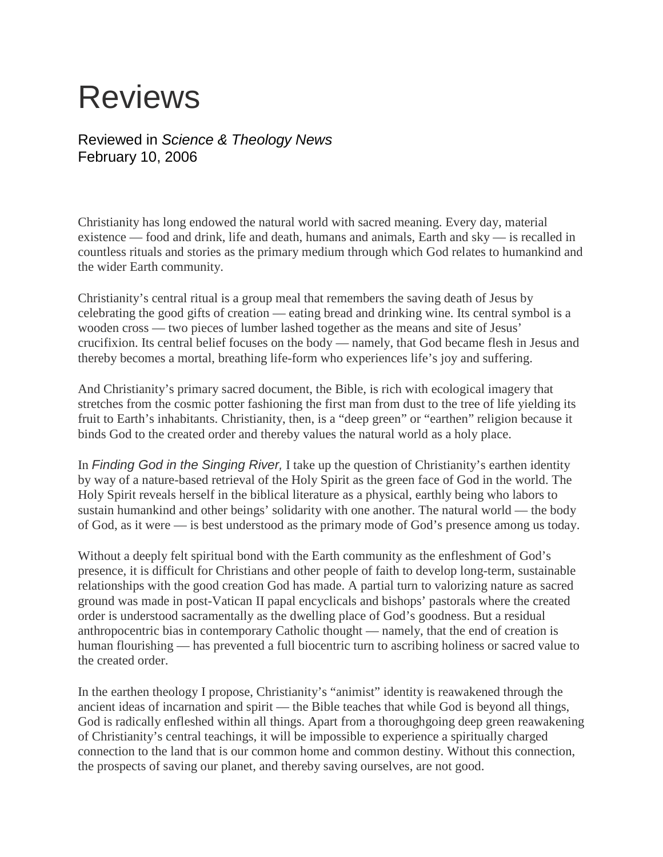# Reviews

Reviewed in *Science & Theology News* February 10, 2006

Christianity has long endowed the natural world with sacred meaning. Every day, material existence — food and drink, life and death, humans and animals, Earth and sky — is recalled in countless rituals and stories as the primary medium through which God relates to humankind and the wider Earth community.

Christianity's central ritual is a group meal that remembers the saving death of Jesus by celebrating the good gifts of creation — eating bread and drinking wine. Its central symbol is a wooden cross — two pieces of lumber lashed together as the means and site of Jesus' crucifixion. Its central belief focuses on the body — namely, that God became flesh in Jesus and thereby becomes a mortal, breathing life-form who experiences life's joy and suffering.

And Christianity's primary sacred document, the Bible, is rich with ecological imagery that stretches from the cosmic potter fashioning the first man from dust to the tree of life yielding its fruit to Earth's inhabitants. Christianity, then, is a "deep green" or "earthen" religion because it binds God to the created order and thereby values the natural world as a holy place.

In *Finding God in the Singing River,* I take up the question of Christianity's earthen identity by way of a nature-based retrieval of the Holy Spirit as the green face of God in the world. The Holy Spirit reveals herself in the biblical literature as a physical, earthly being who labors to sustain humankind and other beings' solidarity with one another. The natural world — the body of God, as it were — is best understood as the primary mode of God's presence among us today.

Without a deeply felt spiritual bond with the Earth community as the enfleshment of God's presence, it is difficult for Christians and other people of faith to develop long-term, sustainable relationships with the good creation God has made. A partial turn to valorizing nature as sacred ground was made in post-Vatican II papal encyclicals and bishops' pastorals where the created order is understood sacramentally as the dwelling place of God's goodness. But a residual anthropocentric bias in contemporary Catholic thought — namely, that the end of creation is human flourishing — has prevented a full biocentric turn to ascribing holiness or sacred value to the created order.

In the earthen theology I propose, Christianity's "animist" identity is reawakened through the ancient ideas of incarnation and spirit — the Bible teaches that while God is beyond all things, God is radically enfleshed within all things. Apart from a thoroughgoing deep green reawakening of Christianity's central teachings, it will be impossible to experience a spiritually charged connection to the land that is our common home and common destiny. Without this connection, the prospects of saving our planet, and thereby saving ourselves, are not good.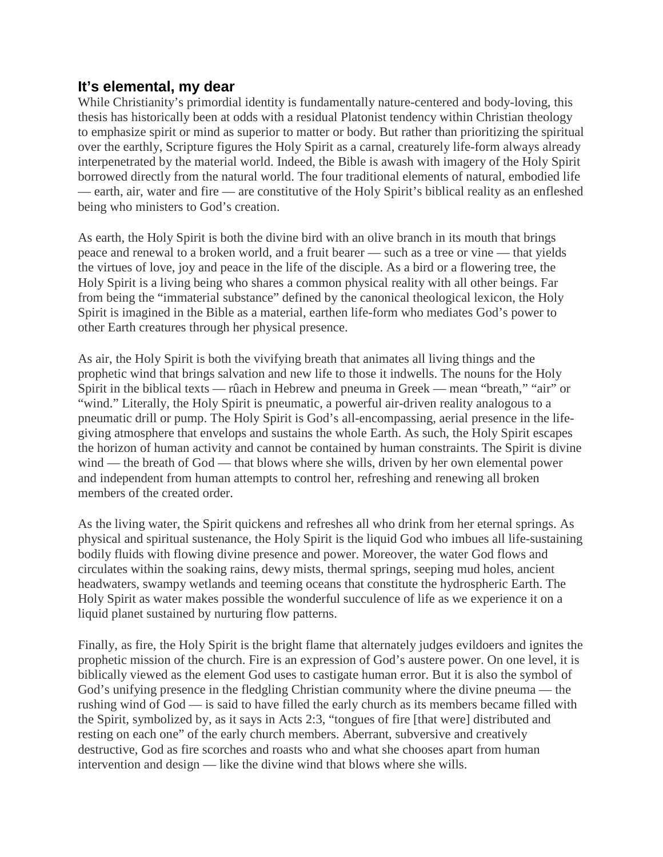#### **It's elemental, my dear**

While Christianity's primordial identity is fundamentally nature-centered and body-loving, this thesis has historically been at odds with a residual Platonist tendency within Christian theology to emphasize spirit or mind as superior to matter or body. But rather than prioritizing the spiritual over the earthly, Scripture figures the Holy Spirit as a carnal, creaturely life-form always already interpenetrated by the material world. Indeed, the Bible is awash with imagery of the Holy Spirit borrowed directly from the natural world. The four traditional elements of natural, embodied life — earth, air, water and fire — are constitutive of the Holy Spirit's biblical reality as an enfleshed being who ministers to God's creation.

As earth, the Holy Spirit is both the divine bird with an olive branch in its mouth that brings peace and renewal to a broken world, and a fruit bearer — such as a tree or vine — that yields the virtues of love, joy and peace in the life of the disciple. As a bird or a flowering tree, the Holy Spirit is a living being who shares a common physical reality with all other beings. Far from being the "immaterial substance" defined by the canonical theological lexicon, the Holy Spirit is imagined in the Bible as a material, earthen life-form who mediates God's power to other Earth creatures through her physical presence.

As air, the Holy Spirit is both the vivifying breath that animates all living things and the prophetic wind that brings salvation and new life to those it indwells. The nouns for the Holy Spirit in the biblical texts — rûach in Hebrew and pneuma in Greek — mean "breath," "air" or "wind." Literally, the Holy Spirit is pneumatic, a powerful air-driven reality analogous to a pneumatic drill or pump. The Holy Spirit is God's all-encompassing, aerial presence in the lifegiving atmosphere that envelops and sustains the whole Earth. As such, the Holy Spirit escapes the horizon of human activity and cannot be contained by human constraints. The Spirit is divine wind — the breath of God — that blows where she wills, driven by her own elemental power and independent from human attempts to control her, refreshing and renewing all broken members of the created order.

As the living water, the Spirit quickens and refreshes all who drink from her eternal springs. As physical and spiritual sustenance, the Holy Spirit is the liquid God who imbues all life-sustaining bodily fluids with flowing divine presence and power. Moreover, the water God flows and circulates within the soaking rains, dewy mists, thermal springs, seeping mud holes, ancient headwaters, swampy wetlands and teeming oceans that constitute the hydrospheric Earth. The Holy Spirit as water makes possible the wonderful succulence of life as we experience it on a liquid planet sustained by nurturing flow patterns.

Finally, as fire, the Holy Spirit is the bright flame that alternately judges evildoers and ignites the prophetic mission of the church. Fire is an expression of God's austere power. On one level, it is biblically viewed as the element God uses to castigate human error. But it is also the symbol of God's unifying presence in the fledgling Christian community where the divine pneuma — the rushing wind of God — is said to have filled the early church as its members became filled with the Spirit, symbolized by, as it says in Acts 2:3, "tongues of fire [that were] distributed and resting on each one" of the early church members. Aberrant, subversive and creatively destructive, God as fire scorches and roasts who and what she chooses apart from human intervention and design — like the divine wind that blows where she wills.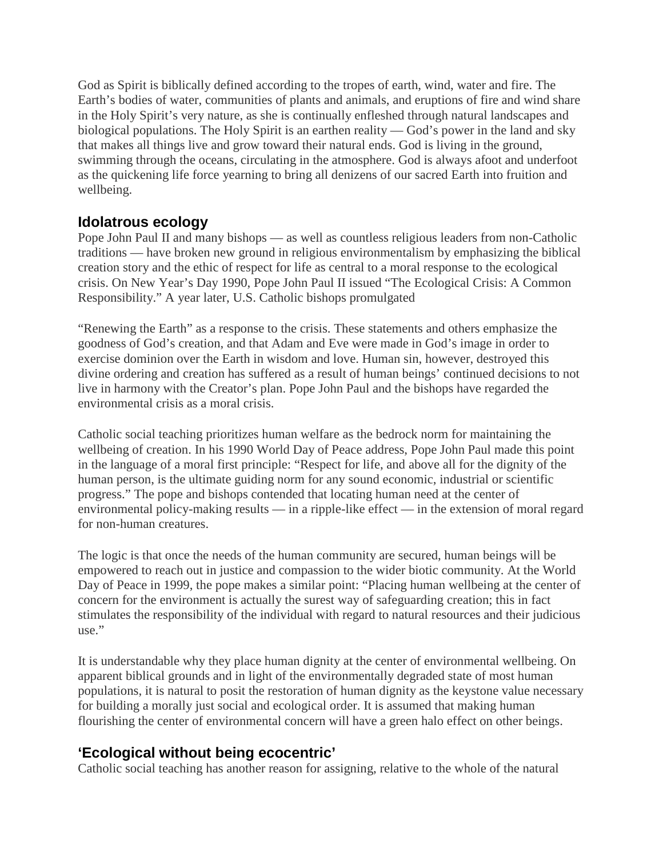God as Spirit is biblically defined according to the tropes of earth, wind, water and fire. The Earth's bodies of water, communities of plants and animals, and eruptions of fire and wind share in the Holy Spirit's very nature, as she is continually enfleshed through natural landscapes and biological populations. The Holy Spirit is an earthen reality — God's power in the land and sky that makes all things live and grow toward their natural ends. God is living in the ground, swimming through the oceans, circulating in the atmosphere. God is always afoot and underfoot as the quickening life force yearning to bring all denizens of our sacred Earth into fruition and wellbeing.

### **Idolatrous ecology**

Pope John Paul II and many bishops — as well as countless religious leaders from non-Catholic traditions — have broken new ground in religious environmentalism by emphasizing the biblical creation story and the ethic of respect for life as central to a moral response to the ecological crisis. On New Year's Day 1990, Pope John Paul II issued "The Ecological Crisis: A Common Responsibility." A year later, U.S. Catholic bishops promulgated

"Renewing the Earth" as a response to the crisis. These statements and others emphasize the goodness of God's creation, and that Adam and Eve were made in God's image in order to exercise dominion over the Earth in wisdom and love. Human sin, however, destroyed this divine ordering and creation has suffered as a result of human beings' continued decisions to not live in harmony with the Creator's plan. Pope John Paul and the bishops have regarded the environmental crisis as a moral crisis.

Catholic social teaching prioritizes human welfare as the bedrock norm for maintaining the wellbeing of creation. In his 1990 World Day of Peace address, Pope John Paul made this point in the language of a moral first principle: "Respect for life, and above all for the dignity of the human person, is the ultimate guiding norm for any sound economic, industrial or scientific progress." The pope and bishops contended that locating human need at the center of environmental policy-making results — in a ripple-like effect — in the extension of moral regard for non-human creatures.

The logic is that once the needs of the human community are secured, human beings will be empowered to reach out in justice and compassion to the wider biotic community. At the World Day of Peace in 1999, the pope makes a similar point: "Placing human wellbeing at the center of concern for the environment is actually the surest way of safeguarding creation; this in fact stimulates the responsibility of the individual with regard to natural resources and their judicious use."

It is understandable why they place human dignity at the center of environmental wellbeing. On apparent biblical grounds and in light of the environmentally degraded state of most human populations, it is natural to posit the restoration of human dignity as the keystone value necessary for building a morally just social and ecological order. It is assumed that making human flourishing the center of environmental concern will have a green halo effect on other beings.

## **'Ecological without being ecocentric'**

Catholic social teaching has another reason for assigning, relative to the whole of the natural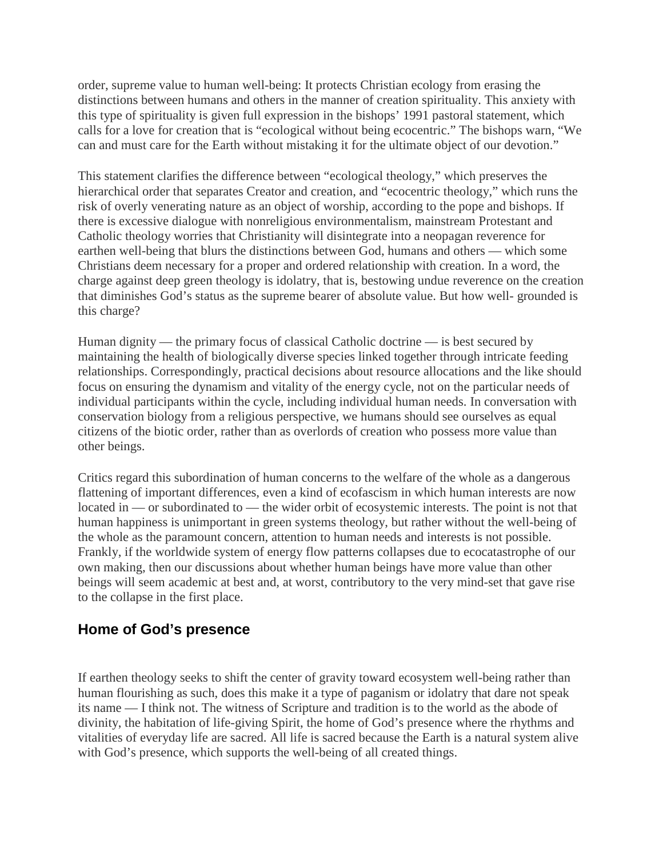order, supreme value to human well-being: It protects Christian ecology from erasing the distinctions between humans and others in the manner of creation spirituality. This anxiety with this type of spirituality is given full expression in the bishops' 1991 pastoral statement, which calls for a love for creation that is "ecological without being ecocentric." The bishops warn, "We can and must care for the Earth without mistaking it for the ultimate object of our devotion."

This statement clarifies the difference between "ecological theology," which preserves the hierarchical order that separates Creator and creation, and "ecocentric theology," which runs the risk of overly venerating nature as an object of worship, according to the pope and bishops. If there is excessive dialogue with nonreligious environmentalism, mainstream Protestant and Catholic theology worries that Christianity will disintegrate into a neopagan reverence for earthen well-being that blurs the distinctions between God, humans and others — which some Christians deem necessary for a proper and ordered relationship with creation. In a word, the charge against deep green theology is idolatry, that is, bestowing undue reverence on the creation that diminishes God's status as the supreme bearer of absolute value. But how well- grounded is this charge?

Human dignity — the primary focus of classical Catholic doctrine — is best secured by maintaining the health of biologically diverse species linked together through intricate feeding relationships. Correspondingly, practical decisions about resource allocations and the like should focus on ensuring the dynamism and vitality of the energy cycle, not on the particular needs of individual participants within the cycle, including individual human needs. In conversation with conservation biology from a religious perspective, we humans should see ourselves as equal citizens of the biotic order, rather than as overlords of creation who possess more value than other beings.

Critics regard this subordination of human concerns to the welfare of the whole as a dangerous flattening of important differences, even a kind of ecofascism in which human interests are now located in — or subordinated to — the wider orbit of ecosystemic interests. The point is not that human happiness is unimportant in green systems theology, but rather without the well-being of the whole as the paramount concern, attention to human needs and interests is not possible. Frankly, if the worldwide system of energy flow patterns collapses due to ecocatastrophe of our own making, then our discussions about whether human beings have more value than other beings will seem academic at best and, at worst, contributory to the very mind-set that gave rise to the collapse in the first place.

## **Home of God's presence**

If earthen theology seeks to shift the center of gravity toward ecosystem well-being rather than human flourishing as such, does this make it a type of paganism or idolatry that dare not speak its name — I think not. The witness of Scripture and tradition is to the world as the abode of divinity, the habitation of life-giving Spirit, the home of God's presence where the rhythms and vitalities of everyday life are sacred. All life is sacred because the Earth is a natural system alive with God's presence, which supports the well-being of all created things.